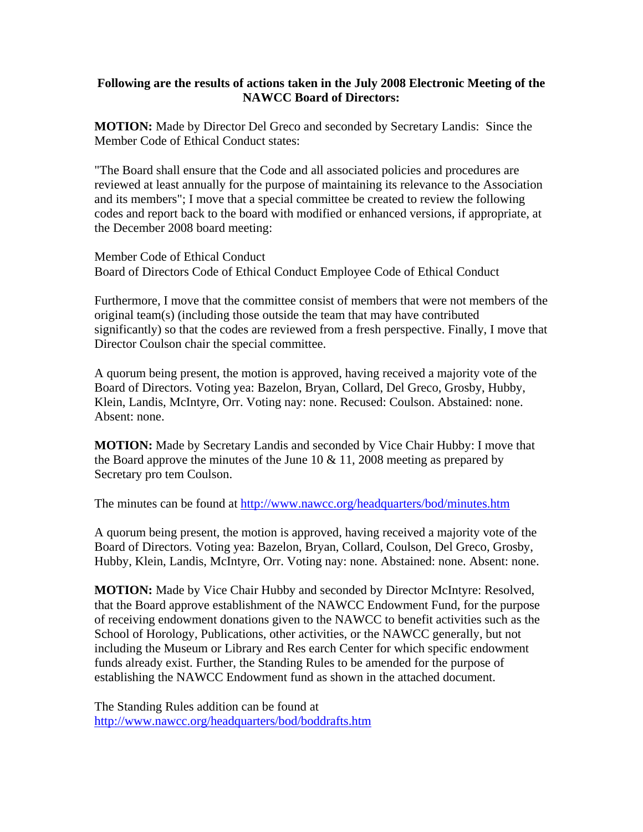## **Following are the results of actions taken in the July 2008 Electronic Meeting of the NAWCC Board of Directors:**

**MOTION:** Made by Director Del Greco and seconded by Secretary Landis: Since the Member Code of Ethical Conduct states:

"The Board shall ensure that the Code and all associated policies and procedures are reviewed at least annually for the purpose of maintaining its relevance to the Association and its members"; I move that a special committee be created to review the following codes and report back to the board with modified or enhanced versions, if appropriate, at the December 2008 board meeting:

Member Code of Ethical Conduct Board of Directors Code of Ethical Conduct Employee Code of Ethical Conduct

Furthermore, I move that the committee consist of members that were not members of the original team(s) (including those outside the team that may have contributed significantly) so that the codes are reviewed from a fresh perspective. Finally, I move that Director Coulson chair the special committee.

A quorum being present, the motion is approved, having received a majority vote of the Board of Directors. Voting yea: Bazelon, Bryan, Collard, Del Greco, Grosby, Hubby, Klein, Landis, McIntyre, Orr. Voting nay: none. Recused: Coulson. Abstained: none. Absent: none.

**MOTION:** Made by Secretary Landis and seconded by Vice Chair Hubby: I move that the Board approve the minutes of the June  $10 \& 11$ , 2008 meeting as prepared by Secretary pro tem Coulson.

The minutes can be found at<http://www.nawcc.org/headquarters/bod/minutes.htm>

A quorum being present, the motion is approved, having received a majority vote of the Board of Directors. Voting yea: Bazelon, Bryan, Collard, Coulson, Del Greco, Grosby, Hubby, Klein, Landis, McIntyre, Orr. Voting nay: none. Abstained: none. Absent: none.

**MOTION:** Made by Vice Chair Hubby and seconded by Director McIntyre: Resolved, that the Board approve establishment of the NAWCC Endowment Fund, for the purpose of receiving endowment donations given to the NAWCC to benefit activities such as the School of Horology, Publications, other activities, or the NAWCC generally, but not including the Museum or Library and Res earch Center for which specific endowment funds already exist. Further, the Standing Rules to be amended for the purpose of establishing the NAWCC Endowment fund as shown in the attached document.

The Standing Rules addition can be found at <http://www.nawcc.org/headquarters/bod/boddrafts.htm>